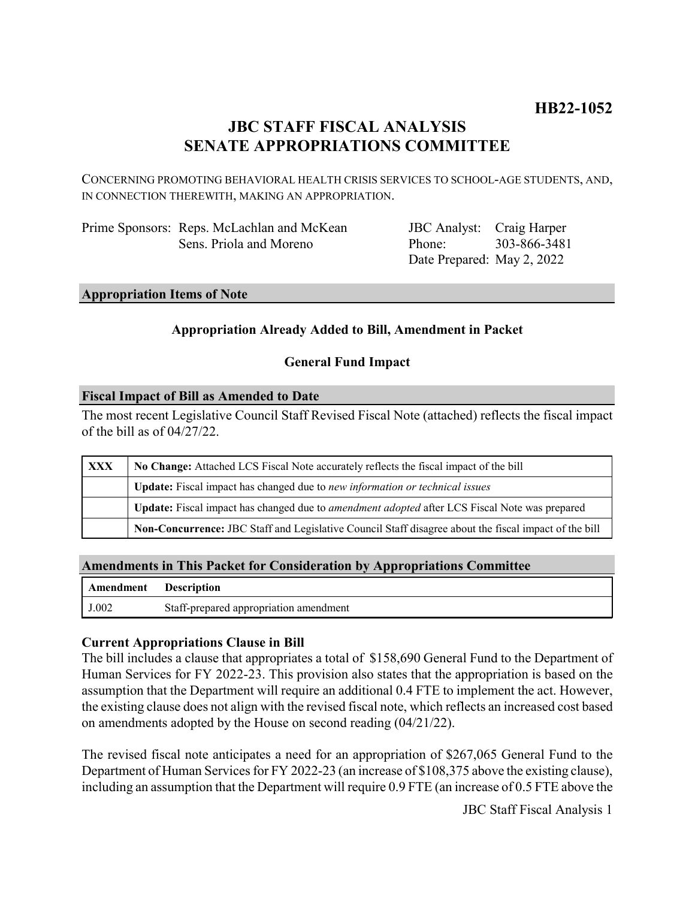# **HB22-1052**

# **JBC STAFF FISCAL ANALYSIS SENATE APPROPRIATIONS COMMITTEE**

CONCERNING PROMOTING BEHAVIORAL HEALTH CRISIS SERVICES TO SCHOOL-AGE STUDENTS, AND, IN CONNECTION THEREWITH, MAKING AN APPROPRIATION.

| Prime Sponsors: Reps. McLachlan and McKean |
|--------------------------------------------|
| Sens. Priola and Moreno                    |

JBC Analyst: Craig Harper Phone: Date Prepared: May 2, 2022 303-866-3481

#### **Appropriation Items of Note**

## **Appropriation Already Added to Bill, Amendment in Packet**

### **General Fund Impact**

### **Fiscal Impact of Bill as Amended to Date**

The most recent Legislative Council Staff Revised Fiscal Note (attached) reflects the fiscal impact of the bill as of 04/27/22.

| XXX | No Change: Attached LCS Fiscal Note accurately reflects the fiscal impact of the bill                       |  |
|-----|-------------------------------------------------------------------------------------------------------------|--|
|     | <b>Update:</b> Fiscal impact has changed due to new information or technical issues                         |  |
|     | <b>Update:</b> Fiscal impact has changed due to <i>amendment adopted</i> after LCS Fiscal Note was prepared |  |
|     | Non-Concurrence: JBC Staff and Legislative Council Staff disagree about the fiscal impact of the bill       |  |

### **Amendments in This Packet for Consideration by Appropriations Committee**

| Amendment Description |                                        |
|-----------------------|----------------------------------------|
| J.002                 | Staff-prepared appropriation amendment |

### **Current Appropriations Clause in Bill**

The bill includes a clause that appropriates a total of \$158,690 General Fund to the Department of Human Services for FY 2022-23. This provision also states that the appropriation is based on the assumption that the Department will require an additional 0.4 FTE to implement the act. However, the existing clause does not align with the revised fiscal note, which reflects an increased cost based on amendments adopted by the House on second reading (04/21/22).

The revised fiscal note anticipates a need for an appropriation of \$267,065 General Fund to the Department of Human Services for FY 2022-23 (an increase of \$108,375 above the existing clause), including an assumption that the Department will require 0.9 FTE (an increase of 0.5 FTE above the

JBC Staff Fiscal Analysis 1